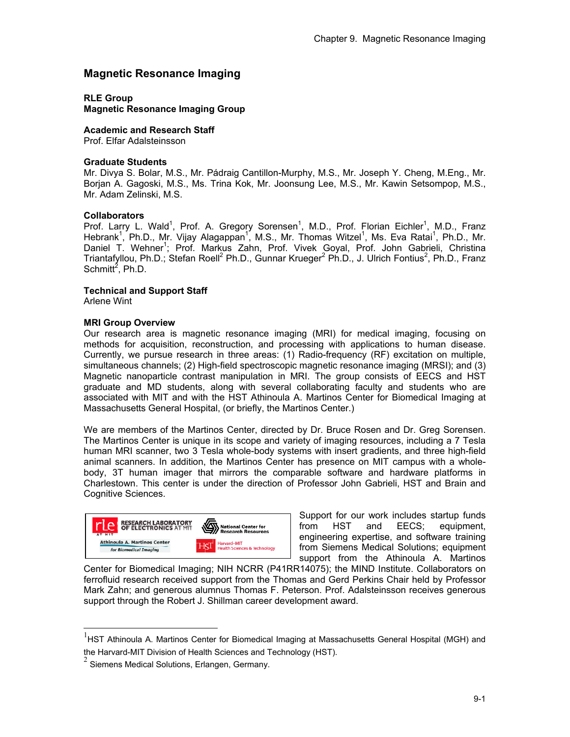# **Magnetic Resonance Imaging**

**RLE Group** 

**Magnetic Resonance Imaging Group** 

**Academic and Research Staff**  Prof. Elfar Adalsteinsson

#### **Graduate Students**

Mr. Divya S. Bolar, M.S., Mr. Pádraig Cantillon-Murphy, M.S., Mr. Joseph Y. Cheng, M.Eng., Mr. Borjan A. Gagoski, M.S., Ms. Trina Kok, Mr. Joonsung Lee, M.S., Mr. Kawin Setsompop, M.S., Mr. Adam Zelinski, M.S.

## **Collaborators**

Prof. Larry L. Wald<sup>1</sup>, Prof. A. Gregory Sorensen<sup>1</sup>, M.D., Prof. Florian Eichler<sup>1</sup>, M.D., Franz Hebrank<sup>1</sup>, Ph.D., Mr. Vijay Alagappan<sup>1</sup>, M.S., Mr. Thomas Witzel<sup>1</sup>, Ms. Eva Ratai<sup>1</sup>, Ph.D., Mr. Daniel T. Wehner<sup>1</sup>; Prof. Markus Zahn, Prof. Vivek Goyal, Prof. John Gabrieli, Christina Triantafyllou, Ph.D.; Stefan Roell<sup>2</sup> Ph.D., Gunnar Krueger<sup>2</sup> Ph.D., J. Ulrich Fontius<sup>2</sup>, Ph.D., Franz Schmitt<sup>2</sup>, Ph.D.

## **Technical and Support Staff**

Arlene Wint

l

## **MRI Group Overview**

Our research area is magnetic resonance imaging (MRI) for medical imaging, focusing on methods for acquisition, reconstruction, and processing with applications to human disease. Currently, we pursue research in three areas: (1) Radio-frequency (RF) excitation on multiple, simultaneous channels; (2) High-field spectroscopic magnetic resonance imaging (MRSI); and (3) Magnetic nanoparticle contrast manipulation in MRI. The group consists of EECS and HST graduate and MD students, along with several collaborating faculty and students who are associated with MIT and with the HST Athinoula A. Martinos Center for Biomedical Imaging at Massachusetts General Hospital, (or briefly, the Martinos Center.)

We are members of the Martinos Center, directed by Dr. Bruce Rosen and Dr. Greg Sorensen. The Martinos Center is unique in its scope and variety of imaging resources, including a 7 Tesla human MRI scanner, two 3 Tesla whole-body systems with insert gradients, and three high-field animal scanners. In addition, the Martinos Center has presence on MIT campus with a wholebody, 3T human imager that mirrors the comparable software and hardware platforms in Charlestown. This center is under the direction of Professor John Gabrieli, HST and Brain and Cognitive Sciences.



Support for our work includes startup funds from HST and EECS; equipment, engineering expertise, and software training from Siemens Medical Solutions; equipment support from the Athinoula A. Martinos

Center for Biomedical Imaging; NIH NCRR (P41RR14075); the MIND Institute. Collaborators on ferrofluid research received support from the Thomas and Gerd Perkins Chair held by Professor Mark Zahn; and generous alumnus Thomas F. Peterson. Prof. Adalsteinsson receives generous support through the Robert J. Shillman career development award.

 $<sup>1</sup>$ HST Athinoula A. Martinos Center for Biomedical Imaging at Massachusetts General Hospital (MGH) and</sup> the Harvard-MIT Division of Health Sciences and Technology (HST).

 $<sup>2</sup>$  Siemens Medical Solutions, Erlangen, Germany.</sup>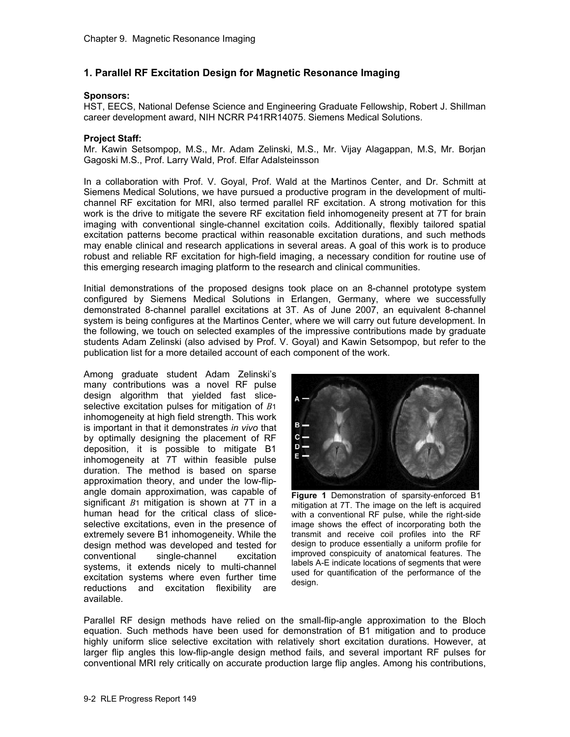## **1. Parallel RF Excitation Design for Magnetic Resonance Imaging**

#### **Sponsors:**

HST, EECS, National Defense Science and Engineering Graduate Fellowship, Robert J. Shillman career development award, NIH NCRR P41RR14075. Siemens Medical Solutions.

#### **Project Staff:**

Mr. Kawin Setsompop, M.S., Mr. Adam Zelinski, M.S., Mr. Vijay Alagappan, M.S, Mr. Borjan Gagoski M.S., Prof. Larry Wald, Prof. Elfar Adalsteinsson

In a collaboration with Prof. V. Goyal, Prof. Wald at the Martinos Center, and Dr. Schmitt at Siemens Medical Solutions, we have pursued a productive program in the development of multichannel RF excitation for MRI, also termed parallel RF excitation. A strong motivation for this work is the drive to mitigate the severe RF excitation field inhomogeneity present at 7T for brain imaging with conventional single-channel excitation coils. Additionally, flexibly tailored spatial excitation patterns become practical within reasonable excitation durations, and such methods may enable clinical and research applications in several areas. A goal of this work is to produce robust and reliable RF excitation for high-field imaging, a necessary condition for routine use of this emerging research imaging platform to the research and clinical communities.

Initial demonstrations of the proposed designs took place on an 8-channel prototype system configured by Siemens Medical Solutions in Erlangen, Germany, where we successfully demonstrated 8-channel parallel excitations at 3T. As of June 2007, an equivalent 8-channel system is being configures at the Martinos Center, where we will carry out future development. In the following, we touch on selected examples of the impressive contributions made by graduate students Adam Zelinski (also advised by Prof. V. Goyal) and Kawin Setsompop, but refer to the publication list for a more detailed account of each component of the work.

Among graduate student Adam Zelinski's many contributions was a novel RF pulse design algorithm that yielded fast sliceselective excitation pulses for mitigation of *B*1 inhomogeneity at high field strength. This work is important in that it demonstrates *in vivo* that by optimally designing the placement of RF deposition, it is possible to mitigate B1 inhomogeneity at 7T within feasible pulse duration. The method is based on sparse approximation theory, and under the low-flipangle domain approximation, was capable of significant *B*1 mitigation is shown at 7T in a human head for the critical class of sliceselective excitations, even in the presence of extremely severe B1 inhomogeneity. While the design method was developed and tested for conventional single-channel excitation systems, it extends nicely to multi-channel excitation systems where even further time reductions and excitation flexibility are available.



**Figure 1** Demonstration of sparsity-enforced B1 mitigation at 7T. The image on the left is acquired with a conventional RF pulse, while the right-side image shows the effect of incorporating both the transmit and receive coil profiles into the RF design to produce essentially a uniform profile for improved conspicuity of anatomical features. The labels A-E indicate locations of segments that were used for quantification of the performance of the design.

Parallel RF design methods have relied on the small-flip-angle approximation to the Bloch equation. Such methods have been used for demonstration of B1 mitigation and to produce highly uniform slice selective excitation with relatively short excitation durations. However, at larger flip angles this low-flip-angle design method fails, and several important RF pulses for conventional MRI rely critically on accurate production large flip angles. Among his contributions,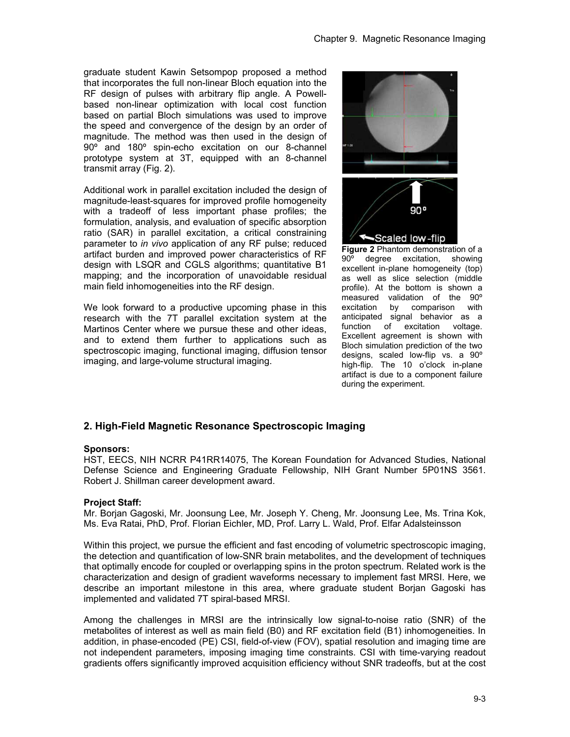graduate student Kawin Setsompop proposed a method that incorporates the full non-linear Bloch equation into the RF design of pulses with arbitrary flip angle. A Powellbased non-linear optimization with local cost function based on partial Bloch simulations was used to improve the speed and convergence of the design by an order of magnitude. The method was then used in the design of 90º and 180º spin-echo excitation on our 8-channel prototype system at 3T, equipped with an 8-channel transmit array (Fig. 2).

Additional work in parallel excitation included the design of magnitude-least-squares for improved profile homogeneity with a tradeoff of less important phase profiles; the formulation, analysis, and evaluation of specific absorption ratio (SAR) in parallel excitation, a critical constraining parameter to *in vivo* application of any RF pulse; reduced artifact burden and improved power characteristics of RF design with LSQR and CGLS algorithms; quantitative B1 mapping; and the incorporation of unavoidable residual main field inhomogeneities into the RF design.

We look forward to a productive upcoming phase in this research with the 7T parallel excitation system at the Martinos Center where we pursue these and other ideas, and to extend them further to applications such as spectroscopic imaging, functional imaging, diffusion tensor imaging, and large-volume structural imaging.



**Figure 2** Phantom demonstration of a 90º degree excitation, showing excellent in-plane homogeneity (top) as well as slice selection (middle profile). At the bottom is shown a measured validation of the 90º excitation by comparison with anticipated signal behavior as a function of excitation voltage. Excellent agreement is shown with Bloch simulation prediction of the two designs, scaled low-flip vs. a 90º high-flip. The 10 o'clock in-plane artifact is due to a component failure during the experiment.

# **2. High-Field Magnetic Resonance Spectroscopic Imaging**

#### **Sponsors:**

HST, EECS, NIH NCRR P41RR14075, The Korean Foundation for Advanced Studies, National Defense Science and Engineering Graduate Fellowship, NIH Grant Number 5P01NS 3561. Robert J. Shillman career development award.

#### **Project Staff:**

Mr. Borjan Gagoski, Mr. Joonsung Lee, Mr. Joseph Y. Cheng, Mr. Joonsung Lee, Ms. Trina Kok, Ms. Eva Ratai, PhD, Prof. Florian Eichler, MD, Prof. Larry L. Wald, Prof. Elfar Adalsteinsson

Within this project, we pursue the efficient and fast encoding of volumetric spectroscopic imaging, the detection and quantification of low-SNR brain metabolites, and the development of techniques that optimally encode for coupled or overlapping spins in the proton spectrum. Related work is the characterization and design of gradient waveforms necessary to implement fast MRSI. Here, we describe an important milestone in this area, where graduate student Borjan Gagoski has implemented and validated 7T spiral-based MRSI.

Among the challenges in MRSI are the intrinsically low signal-to-noise ratio (SNR) of the metabolites of interest as well as main field (B0) and RF excitation field (B1) inhomogeneities. In addition, in phase-encoded (PE) CSI, field-of-view (FOV), spatial resolution and imaging time are not independent parameters, imposing imaging time constraints. CSI with time-varying readout gradients offers significantly improved acquisition efficiency without SNR tradeoffs, but at the cost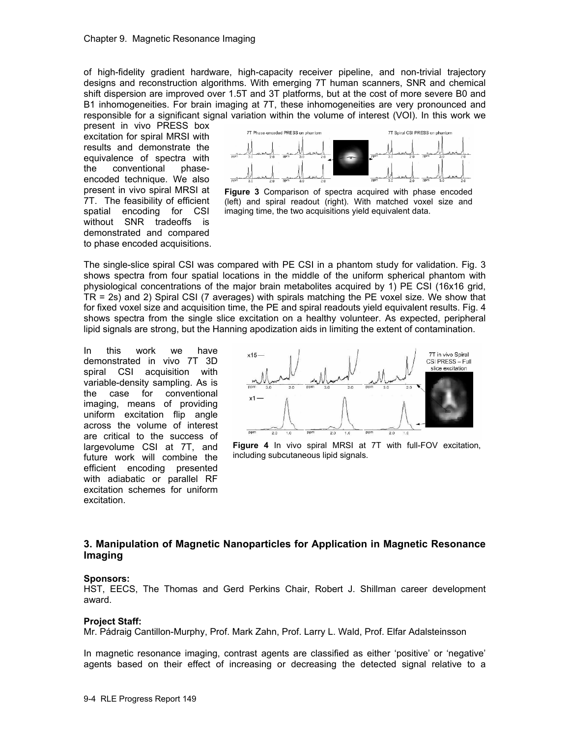of high-fidelity gradient hardware, high-capacity receiver pipeline, and non-trivial trajectory designs and reconstruction algorithms. With emerging 7T human scanners, SNR and chemical shift dispersion are improved over 1.5T and 3T platforms, but at the cost of more severe B0 and B1 inhomogeneities. For brain imaging at 7T, these inhomogeneities are very pronounced and responsible for a significant signal variation within the volume of interest (VOI). In this work we

present in vivo PRESS box excitation for spiral MRSI with results and demonstrate the equivalence of spectra with the conventional phaseencoded technique. We also present in vivo spiral MRSI at 7T. The feasibility of efficient spatial encoding for CSI without SNR tradeoffs is demonstrated and compared to phase encoded acquisitions.



**Figure 3** Comparison of spectra acquired with phase encoded (left) and spiral readout (right). With matched voxel size and imaging time, the two acquisitions yield equivalent data.

The single-slice spiral CSI was compared with PE CSI in a phantom study for validation. Fig. 3 shows spectra from four spatial locations in the middle of the uniform spherical phantom with physiological concentrations of the major brain metabolites acquired by 1) PE CSI (16x16 grid, TR = 2s) and 2) Spiral CSI (7 averages) with spirals matching the PE voxel size. We show that for fixed voxel size and acquisition time, the PE and spiral readouts yield equivalent results. Fig. 4 shows spectra from the single slice excitation on a healthy volunteer. As expected, peripheral lipid signals are strong, but the Hanning apodization aids in limiting the extent of contamination.

In this work we have demonstrated in vivo 7T 3D spiral CSI acquisition with variable-density sampling. As is the case for conventional imaging, means of providing uniform excitation flip angle across the volume of interest are critical to the success of largevolume CSI at 7T, and future work will combine the efficient encoding presented with adiabatic or parallel RF excitation schemes for uniform excitation.



**Figure 4** In vivo spiral MRSI at 7T with full-FOV excitation, including subcutaneous lipid signals.

# **3. Manipulation of Magnetic Nanoparticles for Application in Magnetic Resonance Imaging**

#### **Sponsors:**

HST, EECS, The Thomas and Gerd Perkins Chair, Robert J. Shillman career development award.

#### **Project Staff:**

Mr. Pádraig Cantillon-Murphy, Prof. Mark Zahn, Prof. Larry L. Wald, Prof. Elfar Adalsteinsson

In magnetic resonance imaging, contrast agents are classified as either 'positive' or 'negative' agents based on their effect of increasing or decreasing the detected signal relative to a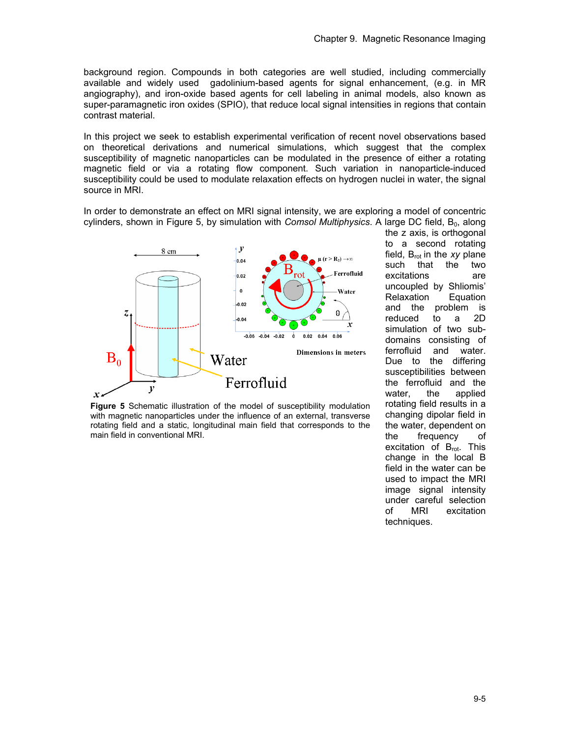background region. Compounds in both categories are well studied, including commercially available and widely used gadolinium-based agents for signal enhancement, (e.g. in MR angiography), and iron-oxide based agents for cell labeling in animal models, also known as super-paramagnetic iron oxides (SPIO), that reduce local signal intensities in regions that contain contrast material.

In this project we seek to establish experimental verification of recent novel observations based on theoretical derivations and numerical simulations, which suggest that the complex susceptibility of magnetic nanoparticles can be modulated in the presence of either a rotating magnetic field or via a rotating flow component. Such variation in nanoparticle-induced susceptibility could be used to modulate relaxation effects on hydrogen nuclei in water, the signal source in MRI.

In order to demonstrate an effect on MRI signal intensity, we are exploring a model of concentric cylinders, shown in Figure 5, by simulation with *Comsol Multiphysics*. A large DC field, B<sub>0</sub>, along



**Figure 5** Schematic illustration of the model of susceptibility modulation with magnetic nanoparticles under the influence of an external, transverse rotating field and a static, longitudinal main field that corresponds to the main field in conventional MRI.

the z axis, is orthogonal to a second rotating field, B<sub>rot</sub> in the *xy* plane such that the two excitations are uncoupled by Shliomis' Relaxation Equation and the problem is<br>reduced to a 2D reduced to a simulation of two subdomains consisting of ferrofluid and water. Due to the differing susceptibilities between the ferrofluid and the water, the applied rotating field results in a changing dipolar field in the water, dependent on the frequency of excitation of B<sub>rot</sub>. This change in the local B field in the water can be used to impact the MRI image signal intensity under careful selection of MRI excitation techniques.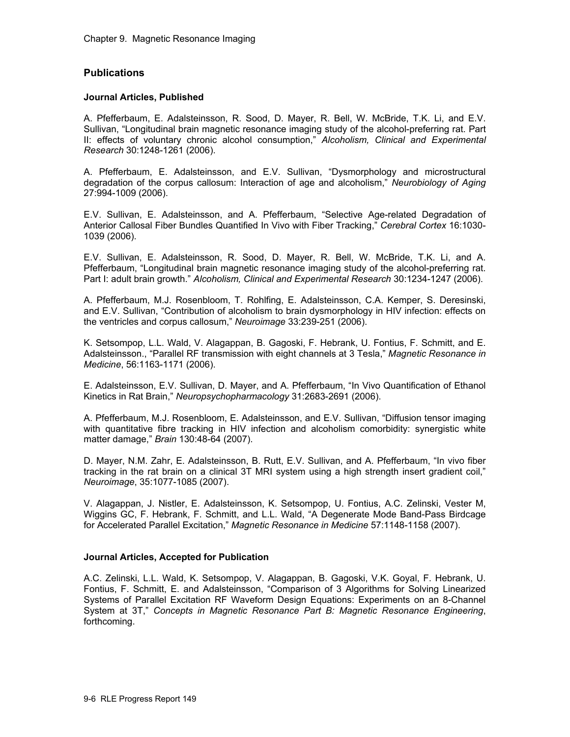## **Publications**

#### **Journal Articles, Published**

A. Pfefferbaum, E. Adalsteinsson, R. Sood, D. Mayer, R. Bell, W. McBride, T.K. Li, and E.V. Sullivan, "Longitudinal brain magnetic resonance imaging study of the alcohol-preferring rat. Part II: effects of voluntary chronic alcohol consumption," *Alcoholism, Clinical and Experimental Research* 30:1248-1261 (2006).

A. Pfefferbaum, E. Adalsteinsson, and E.V. Sullivan, "Dysmorphology and microstructural degradation of the corpus callosum: Interaction of age and alcoholism," *Neurobiology of Aging* 27:994-1009 (2006).

E.V. Sullivan, E. Adalsteinsson, and A. Pfefferbaum, "Selective Age-related Degradation of Anterior Callosal Fiber Bundles Quantified In Vivo with Fiber Tracking," *Cerebral Cortex* 16:1030- 1039 (2006).

E.V. Sullivan, E. Adalsteinsson, R. Sood, D. Mayer, R. Bell, W. McBride, T.K. Li, and A. Pfefferbaum, "Longitudinal brain magnetic resonance imaging study of the alcohol-preferring rat. Part I: adult brain growth." *Alcoholism, Clinical and Experimental Research* 30:1234-1247 (2006).

A. Pfefferbaum, M.J. Rosenbloom, T. Rohlfing, E. Adalsteinsson, C.A. Kemper, S. Deresinski, and E.V. Sullivan, "Contribution of alcoholism to brain dysmorphology in HIV infection: effects on the ventricles and corpus callosum," *Neuroimage* 33:239-251 (2006).

K. Setsompop, L.L. Wald, V. Alagappan, B. Gagoski, F. Hebrank, U. Fontius, F. Schmitt, and E. Adalsteinsson., "Parallel RF transmission with eight channels at 3 Tesla," *Magnetic Resonance in Medicine*, 56:1163-1171 (2006).

E. Adalsteinsson, E.V. Sullivan, D. Mayer, and A. Pfefferbaum, "In Vivo Quantification of Ethanol Kinetics in Rat Brain," *Neuropsychopharmacology* 31:2683-2691 (2006).

A. Pfefferbaum, M.J. Rosenbloom, E. Adalsteinsson, and E.V. Sullivan, "Diffusion tensor imaging with quantitative fibre tracking in HIV infection and alcoholism comorbidity: synergistic white matter damage," *Brain* 130:48-64 (2007).

D. Mayer, N.M. Zahr, E. Adalsteinsson, B. Rutt, E.V. Sullivan, and A. Pfefferbaum, "In vivo fiber tracking in the rat brain on a clinical 3T MRI system using a high strength insert gradient coil," *Neuroimage*, 35:1077-1085 (2007).

V. Alagappan, J. Nistler, E. Adalsteinsson, K. Setsompop, U. Fontius, A.C. Zelinski, Vester M, Wiggins GC, F. Hebrank, F. Schmitt, and L.L. Wald, "A Degenerate Mode Band-Pass Birdcage for Accelerated Parallel Excitation," *Magnetic Resonance in Medicine* 57:1148-1158 (2007).

#### **Journal Articles, Accepted for Publication**

A.C. Zelinski, L.L. Wald, K. Setsompop, V. Alagappan, B. Gagoski, V.K. Goyal, F. Hebrank, U. Fontius, F. Schmitt, E. and Adalsteinsson, "Comparison of 3 Algorithms for Solving Linearized Systems of Parallel Excitation RF Waveform Design Equations: Experiments on an 8-Channel System at 3T," *Concepts in Magnetic Resonance Part B: Magnetic Resonance Engineering*, forthcoming.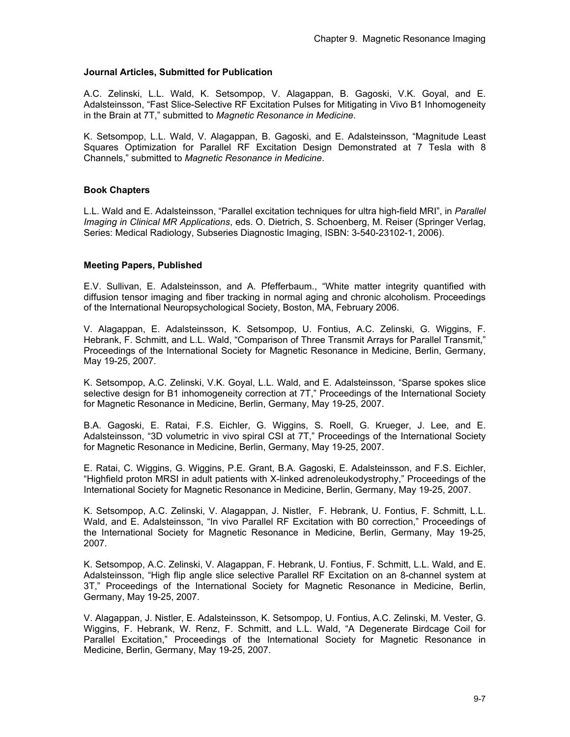## **Journal Articles, Submitted for Publication**

A.C. Zelinski, L.L. Wald, K. Setsompop, V. Alagappan, B. Gagoski, V.K. Goyal, and E. Adalsteinsson, "Fast Slice-Selective RF Excitation Pulses for Mitigating in Vivo B1 Inhomogeneity in the Brain at 7T," submitted to *Magnetic Resonance in Medicine*.

K. Setsompop, L.L. Wald, V. Alagappan, B. Gagoski, and E. Adalsteinsson, "Magnitude Least Squares Optimization for Parallel RF Excitation Design Demonstrated at 7 Tesla with 8 Channels," submitted to *Magnetic Resonance in Medicine*.

## **Book Chapters**

L.L. Wald and E. Adalsteinsson, "Parallel excitation techniques for ultra high-field MRI", in *Parallel Imaging in Clinical MR Applications*, eds. O. Dietrich, S. Schoenberg, M. Reiser (Springer Verlag, Series: Medical Radiology, Subseries Diagnostic Imaging, ISBN: 3-540-23102-1, 2006).

#### **Meeting Papers, Published**

E.V. Sullivan, E. Adalsteinsson, and A. Pfefferbaum., "White matter integrity quantified with diffusion tensor imaging and fiber tracking in normal aging and chronic alcoholism. Proceedings of the International Neuropsychological Society, Boston, MA, February 2006.

V. Alagappan, E. Adalsteinsson, K. Setsompop, U. Fontius, A.C. Zelinski, G. Wiggins, F. Hebrank, F. Schmitt, and L.L. Wald, "Comparison of Three Transmit Arrays for Parallel Transmit," Proceedings of the International Society for Magnetic Resonance in Medicine, Berlin, Germany, May 19-25, 2007.

K. Setsompop, A.C. Zelinski, V.K. Goyal, L.L. Wald, and E. Adalsteinsson, "Sparse spokes slice selective design for B1 inhomogeneity correction at 7T," Proceedings of the International Society for Magnetic Resonance in Medicine, Berlin, Germany, May 19-25, 2007.

B.A. Gagoski, E. Ratai, F.S. Eichler, G. Wiggins, S. Roell, G. Krueger, J. Lee, and E. Adalsteinsson, "3D volumetric in vivo spiral CSI at 7T," Proceedings of the International Society for Magnetic Resonance in Medicine, Berlin, Germany, May 19-25, 2007.

E. Ratai, C. Wiggins, G. Wiggins, P.E. Grant, B.A. Gagoski, E. Adalsteinsson, and F.S. Eichler, "Highfield proton MRSI in adult patients with X-linked adrenoleukodystrophy," Proceedings of the International Society for Magnetic Resonance in Medicine, Berlin, Germany, May 19-25, 2007.

K. Setsompop, A.C. Zelinski, V. Alagappan, J. Nistler, F. Hebrank, U. Fontius, F. Schmitt, L.L. Wald, and E. Adalsteinsson, "In vivo Parallel RF Excitation with B0 correction," Proceedings of the International Society for Magnetic Resonance in Medicine, Berlin, Germany, May 19-25, 2007.

K. Setsompop, A.C. Zelinski, V. Alagappan, F. Hebrank, U. Fontius, F. Schmitt, L.L. Wald, and E. Adalsteinsson, "High flip angle slice selective Parallel RF Excitation on an 8-channel system at 3T," Proceedings of the International Society for Magnetic Resonance in Medicine, Berlin, Germany, May 19-25, 2007.

V. Alagappan, J. Nistler, E. Adalsteinsson, K. Setsompop, U. Fontius, A.C. Zelinski, M. Vester, G. Wiggins, F. Hebrank, W. Renz, F. Schmitt, and L.L. Wald, "A Degenerate Birdcage Coil for Parallel Excitation," Proceedings of the International Society for Magnetic Resonance in Medicine, Berlin, Germany, May 19-25, 2007.